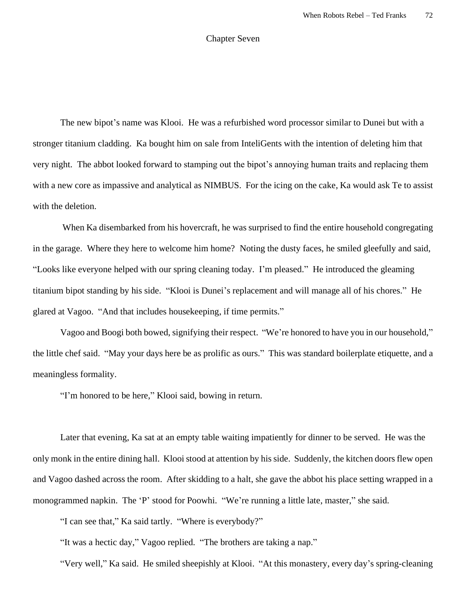## Chapter Seven

The new bipot's name was Klooi. He was a refurbished word processor similar to Dunei but with a stronger titanium cladding. Ka bought him on sale from InteliGents with the intention of deleting him that very night. The abbot looked forward to stamping out the bipot's annoying human traits and replacing them with a new core as impassive and analytical as NIMBUS. For the icing on the cake, Ka would ask Te to assist with the deletion.

When Ka disembarked from his hovercraft, he was surprised to find the entire household congregating in the garage. Where they here to welcome him home? Noting the dusty faces, he smiled gleefully and said, "Looks like everyone helped with our spring cleaning today. I'm pleased." He introduced the gleaming titanium bipot standing by his side. "Klooi is Dunei's replacement and will manage all of his chores." He glared at Vagoo. "And that includes housekeeping, if time permits."

Vagoo and Boogi both bowed, signifying their respect. "We're honored to have you in our household," the little chef said. "May your days here be as prolific as ours." This was standard boilerplate etiquette, and a meaningless formality.

"I'm honored to be here," Klooi said, bowing in return.

Later that evening, Ka sat at an empty table waiting impatiently for dinner to be served. He was the only monk in the entire dining hall. Klooi stood at attention by his side. Suddenly, the kitchen doors flew open and Vagoo dashed across the room. After skidding to a halt, she gave the abbot his place setting wrapped in a monogrammed napkin. The 'P' stood for Poowhi. "We're running a little late, master," she said.

"I can see that," Ka said tartly. "Where is everybody?"

"It was a hectic day," Vagoo replied. "The brothers are taking a nap."

"Very well," Ka said. He smiled sheepishly at Klooi. "At this monastery, every day's spring-cleaning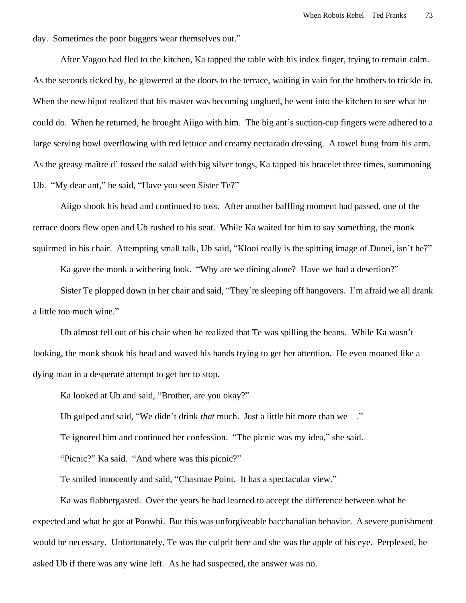day. Sometimes the poor buggers wear themselves out."

After Vagoo had fled to the kitchen, Ka tapped the table with his index finger, trying to remain calm. As the seconds ticked by, he glowered at the doors to the terrace, waiting in vain for the brothers to trickle in. When the new bipot realized that his master was becoming unglued, he went into the kitchen to see what he could do. When he returned, he brought Aiigo with him. The big ant's suction-cup fingers were adhered to a large serving bowl overflowing with red lettuce and creamy nectarado dressing. A towel hung from his arm. As the greasy maître d' tossed the salad with big silver tongs, Ka tapped his bracelet three times, summoning Ub. "My dear ant," he said, "Have you seen Sister Te?"

Aiigo shook his head and continued to toss. After another baffling moment had passed, one of the terrace doors flew open and Ub rushed to his seat. While Ka waited for him to say something, the monk squirmed in his chair. Attempting small talk, Ub said, "Klooi really is the spitting image of Dunei, isn't he?"

Ka gave the monk a withering look. "Why are we dining alone? Have we had a desertion?"

Sister Te plopped down in her chair and said, "They're sleeping off hangovers. I'm afraid we all drank a little too much wine."

Ub almost fell out of his chair when he realized that Te was spilling the beans. While Ka wasn't looking, the monk shook his head and waved his hands trying to get her attention. He even moaned like a dying man in a desperate attempt to get her to stop.

Ka looked at Ub and said, "Brother, are you okay?"

Ub gulped and said, "We didn't drink *that* much. Just a little bit more than we—."

Te ignored him and continued her confession. "The picnic was my idea," she said.

"Picnic?" Ka said. "And where was this picnic?"

Te smiled innocently and said, "Chasmae Point. It has a spectacular view."

Ka was flabbergasted. Over the years he had learned to accept the difference between what he expected and what he got at Poowhi. But this was unforgiveable bacchanalian behavior. A severe punishment would be necessary. Unfortunately, Te was the culprit here and she was the apple of his eye. Perplexed, he asked Ub if there was any wine left. As he had suspected, the answer was no.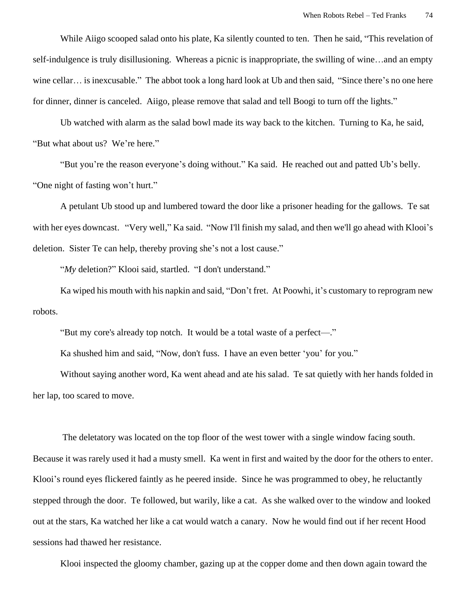While Aiigo scooped salad onto his plate, Ka silently counted to ten. Then he said, "This revelation of self-indulgence is truly disillusioning. Whereas a picnic is inappropriate, the swilling of wine…and an empty wine cellar… is inexcusable." The abbot took a long hard look at Ub and then said, "Since there's no one here for dinner, dinner is canceled. Aiigo, please remove that salad and tell Boogi to turn off the lights."

Ub watched with alarm as the salad bowl made its way back to the kitchen. Turning to Ka, he said, "But what about us? We're here."

"But you're the reason everyone's doing without." Ka said. He reached out and patted Ub's belly. "One night of fasting won't hurt."

A petulant Ub stood up and lumbered toward the door like a prisoner heading for the gallows. Te sat with her eyes downcast. "Very well," Ka said. "Now I'll finish my salad, and then we'll go ahead with Klooi's deletion. Sister Te can help, thereby proving she's not a lost cause."

"*My* deletion?" Klooi said, startled. "I don't understand."

Ka wiped his mouth with his napkin and said, "Don't fret. At Poowhi, it's customary to reprogram new robots.

"But my core's already top notch. It would be a total waste of a perfect—."

Ka shushed him and said, "Now, don't fuss. I have an even better 'you' for you."

Without saying another word, Ka went ahead and ate his salad. Te sat quietly with her hands folded in her lap, too scared to move.

The deletatory was located on the top floor of the west tower with a single window facing south. Because it was rarely used it had a musty smell. Ka went in first and waited by the door for the others to enter. Klooi's round eyes flickered faintly as he peered inside. Since he was programmed to obey, he reluctantly stepped through the door. Te followed, but warily, like a cat. As she walked over to the window and looked out at the stars, Ka watched her like a cat would watch a canary. Now he would find out if her recent Hood sessions had thawed her resistance.

Klooi inspected the gloomy chamber, gazing up at the copper dome and then down again toward the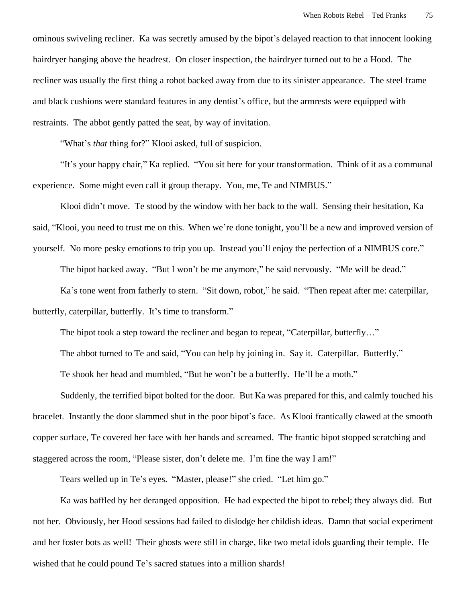ominous swiveling recliner. Ka was secretly amused by the bipot's delayed reaction to that innocent looking hairdryer hanging above the headrest. On closer inspection, the hairdryer turned out to be a Hood. The recliner was usually the first thing a robot backed away from due to its sinister appearance. The steel frame and black cushions were standard features in any dentist's office, but the armrests were equipped with restraints. The abbot gently patted the seat, by way of invitation.

"What's *that* thing for?" Klooi asked, full of suspicion.

"It's your happy chair," Ka replied. "You sit here for your transformation. Think of it as a communal experience. Some might even call it group therapy. You, me, Te and NIMBUS."

Klooi didn't move. Te stood by the window with her back to the wall. Sensing their hesitation, Ka said, "Klooi, you need to trust me on this. When we're done tonight, you'll be a new and improved version of yourself. No more pesky emotions to trip you up. Instead you'll enjoy the perfection of a NIMBUS core."

The bipot backed away. "But I won't be me anymore," he said nervously. "Me will be dead."

Ka's tone went from fatherly to stern. "Sit down, robot," he said. "Then repeat after me: caterpillar, butterfly, caterpillar, butterfly. It's time to transform."

The bipot took a step toward the recliner and began to repeat, "Caterpillar, butterfly..."

The abbot turned to Te and said, "You can help by joining in. Say it. Caterpillar. Butterfly."

Te shook her head and mumbled, "But he won't be a butterfly. He'll be a moth."

Suddenly, the terrified bipot bolted for the door. But Ka was prepared for this, and calmly touched his bracelet. Instantly the door slammed shut in the poor bipot's face. As Klooi frantically clawed at the smooth copper surface, Te covered her face with her hands and screamed. The frantic bipot stopped scratching and staggered across the room, "Please sister, don't delete me. I'm fine the way I am!"

Tears welled up in Te's eyes. "Master, please!" she cried. "Let him go."

Ka was baffled by her deranged opposition. He had expected the bipot to rebel; they always did. But not her. Obviously, her Hood sessions had failed to dislodge her childish ideas. Damn that social experiment and her foster bots as well! Their ghosts were still in charge, like two metal idols guarding their temple. He wished that he could pound Te's sacred statues into a million shards!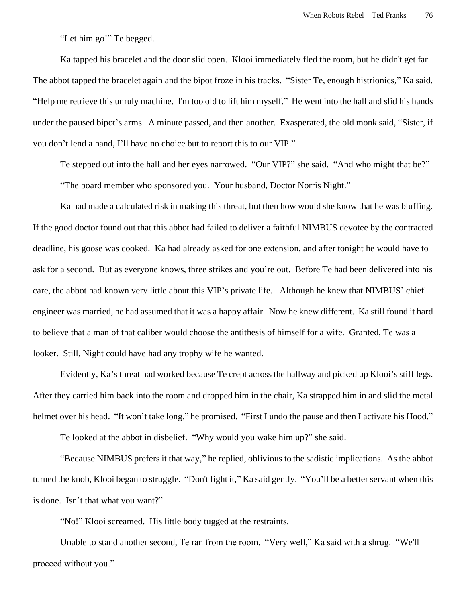"Let him go!" Te begged.

Ka tapped his bracelet and the door slid open. Klooi immediately fled the room, but he didn't get far. The abbot tapped the bracelet again and the bipot froze in his tracks. "Sister Te, enough histrionics," Ka said. "Help me retrieve this unruly machine. I'm too old to lift him myself." He went into the hall and slid his hands under the paused bipot's arms. A minute passed, and then another. Exasperated, the old monk said, "Sister, if you don't lend a hand, I'll have no choice but to report this to our VIP."

Te stepped out into the hall and her eyes narrowed. "Our VIP?" she said. "And who might that be?" "The board member who sponsored you. Your husband, Doctor Norris Night."

Ka had made a calculated risk in making this threat, but then how would she know that he was bluffing. If the good doctor found out that this abbot had failed to deliver a faithful NIMBUS devotee by the contracted deadline, his goose was cooked. Ka had already asked for one extension, and after tonight he would have to ask for a second. But as everyone knows, three strikes and you're out. Before Te had been delivered into his care, the abbot had known very little about this VIP's private life. Although he knew that NIMBUS' chief engineer was married, he had assumed that it was a happy affair. Now he knew different. Ka still found it hard to believe that a man of that caliber would choose the antithesis of himself for a wife. Granted, Te was a looker. Still, Night could have had any trophy wife he wanted.

Evidently, Ka's threat had worked because Te crept across the hallway and picked up Klooi's stiff legs. After they carried him back into the room and dropped him in the chair, Ka strapped him in and slid the metal helmet over his head. "It won't take long," he promised. "First I undo the pause and then I activate his Hood."

Te looked at the abbot in disbelief. "Why would you wake him up?" she said.

 "Because NIMBUS prefers it that way," he replied, oblivious to the sadistic implications. As the abbot turned the knob, Klooi began to struggle. "Don't fight it," Ka said gently. "You'll be a better servant when this is done. Isn't that what you want?"

"No!" Klooi screamed. His little body tugged at the restraints.

Unable to stand another second, Te ran from the room. "Very well," Ka said with a shrug. "We'll proceed without you."